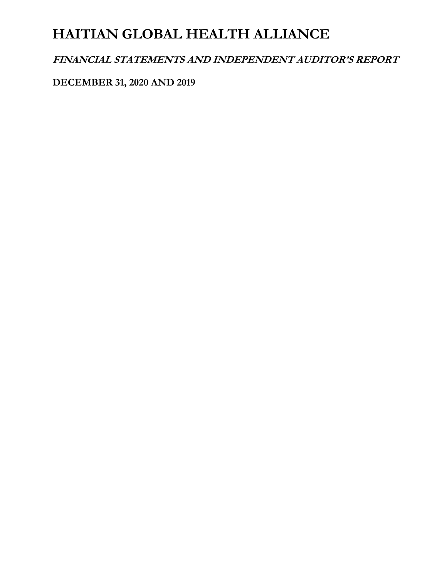# **FINANCIAL STATEMENTS AND INDEPENDENT AUDITOR'S REPORT**

**DECEMBER 31, 2020 AND 2019**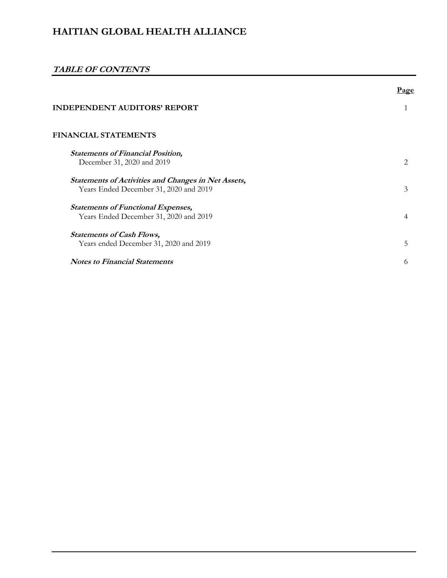# **TABLE OF CONTENTS**

|                                                            | 'aœ |
|------------------------------------------------------------|-----|
| <b>INDEPENDENT AUDITORS' REPORT</b>                        |     |
| <b>FINANCIAL STATEMENTS</b>                                |     |
| <b>Statements of Financial Position,</b>                   |     |
| December 31, 2020 and 2019                                 | 2   |
| <b>Statements of Activities and Changes in Net Assets,</b> |     |
| Years Ended December 31, 2020 and 2019                     | 3   |
| <b>Statements of Functional Expenses,</b>                  |     |
| Years Ended December 31, 2020 and 2019                     | 4   |
| <b>Statements of Cash Flows,</b>                           |     |
| Years ended December 31, 2020 and 2019                     | 5   |
| <b>Notes to Financial Statements</b>                       | 6   |
|                                                            |     |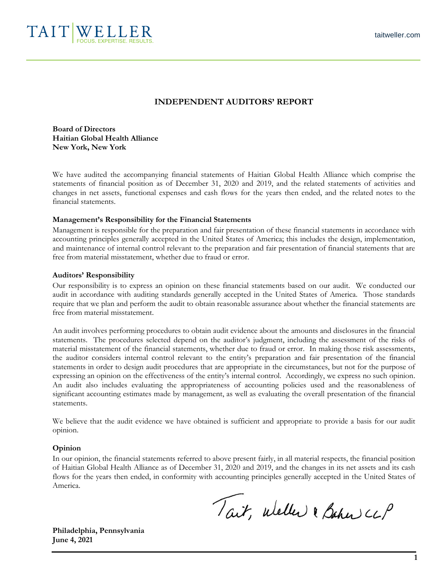

### **INDEPENDENT AUDITORS' REPORT**

**Board of Directors Haitian Global Health Alliance New York, New York**

We have audited the accompanying financial statements of Haitian Global Health Alliance which comprise the statements of financial position as of December 31, 2020 and 2019, and the related statements of activities and changes in net assets, functional expenses and cash flows for the years then ended, and the related notes to the financial statements.

#### **Management's Responsibility for the Financial Statements**

Management is responsible for the preparation and fair presentation of these financial statements in accordance with accounting principles generally accepted in the United States of America; this includes the design, implementation, and maintenance of internal control relevant to the preparation and fair presentation of financial statements that are free from material misstatement, whether due to fraud or error.

#### **Auditors' Responsibility**

Our responsibility is to express an opinion on these financial statements based on our audit. We conducted our audit in accordance with auditing standards generally accepted in the United States of America. Those standards require that we plan and perform the audit to obtain reasonable assurance about whether the financial statements are free from material misstatement.

An audit involves performing procedures to obtain audit evidence about the amounts and disclosures in the financial statements. The procedures selected depend on the auditor's judgment, including the assessment of the risks of material misstatement of the financial statements, whether due to fraud or error. In making those risk assessments, the auditor considers internal control relevant to the entity's preparation and fair presentation of the financial statements in order to design audit procedures that are appropriate in the circumstances, but not for the purpose of expressing an opinion on the effectiveness of the entity's internal control. Accordingly, we express no such opinion. An audit also includes evaluating the appropriateness of accounting policies used and the reasonableness of significant accounting estimates made by management, as well as evaluating the overall presentation of the financial statements.

We believe that the audit evidence we have obtained is sufficient and appropriate to provide a basis for our audit opinion.

#### **Opinion**

In our opinion, the financial statements referred to above present fairly, in all material respects, the financial position of Haitian Global Health Alliance as of December 31, 2020 and 2019, and the changes in its net assets and its cash flows for the years then ended, in conformity with accounting principles generally accepted in the United States of America.

Tait, weller & Baher CCP

**Philadelphia, Pennsylvania June 4, 2021**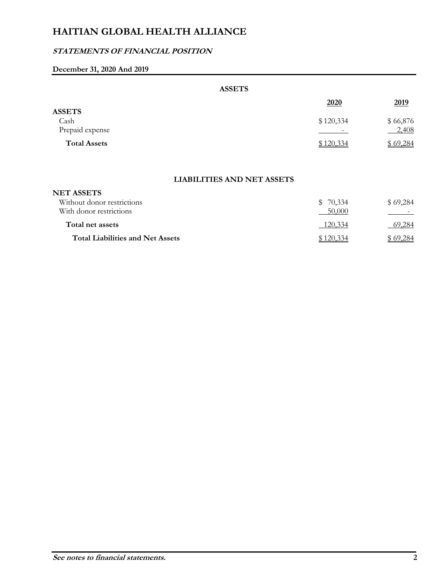# **STATEMENTS OF FINANCIAL POSITION**

# **December 31, 2020 And 2019**

|                     | <b>ASSETS</b> |          |
|---------------------|---------------|----------|
|                     | 2020          | 2019     |
| <b>ASSETS</b>       |               |          |
| Cash                | \$120,334     | \$66,876 |
| Prepaid expense     |               | 2,408    |
| <b>Total Assets</b> | \$120,334     | \$69,284 |

### **LIABILITIES AND NET ASSETS**

| <b>NET ASSETS</b>                       |           |          |
|-----------------------------------------|-----------|----------|
| Without donor restrictions              | \$70,334  | \$69,284 |
| With donor restrictions                 | 50,000    |          |
| Total net assets                        | 120.334   | 69.284   |
| <b>Total Liabilities and Net Assets</b> | \$120,334 | \$69,284 |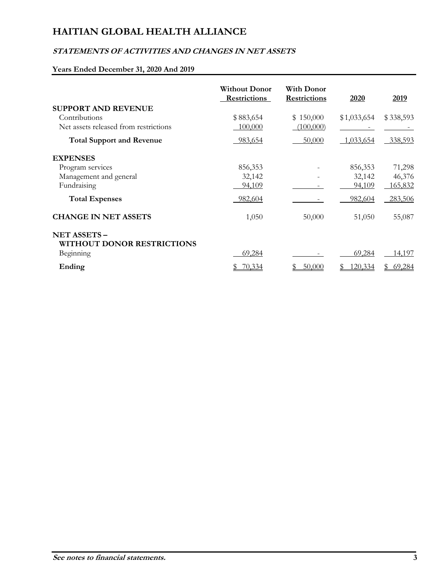# **STATEMENTS OF ACTIVITIES AND CHANGES IN NET ASSETS**

# **Years Ended December 31, 2020 And 2019**

|                                       | <b>Without Donor</b><br><b>Restrictions</b> | <b>With Donor</b><br><b>Restrictions</b> | 2020        | 2019         |
|---------------------------------------|---------------------------------------------|------------------------------------------|-------------|--------------|
| <b>SUPPORT AND REVENUE</b>            |                                             |                                          |             |              |
| Contributions                         | \$883,654                                   | \$150,000                                | \$1,033,654 | \$338,593    |
| Net assets released from restrictions | 100,000                                     | (100,000)                                |             |              |
| <b>Total Support and Revenue</b>      | 983,654                                     | 50,000                                   | 1,033,654   | 338,593      |
| <b>EXPENSES</b>                       |                                             |                                          |             |              |
| Program services                      | 856,353                                     |                                          | 856,353     | 71,298       |
| Management and general                | 32,142                                      |                                          | 32,142      | 46,376       |
| Fundraising                           | 94,109                                      |                                          | 94,109      | 165,832      |
| <b>Total Expenses</b>                 | 982,604                                     |                                          | 982,604     | 283,506      |
| <b>CHANGE IN NET ASSETS</b>           | 1,050                                       | 50,000                                   | 51,050      | 55,087       |
| NET ASSETS-                           |                                             |                                          |             |              |
| <b>WITHOUT DONOR RESTRICTIONS</b>     |                                             |                                          |             |              |
| Beginning                             | <u>69,284</u>                               |                                          | 69,284      | 14,197       |
| Ending                                | 70,334                                      | 50,000                                   | 120,334     | 69,284<br>\$ |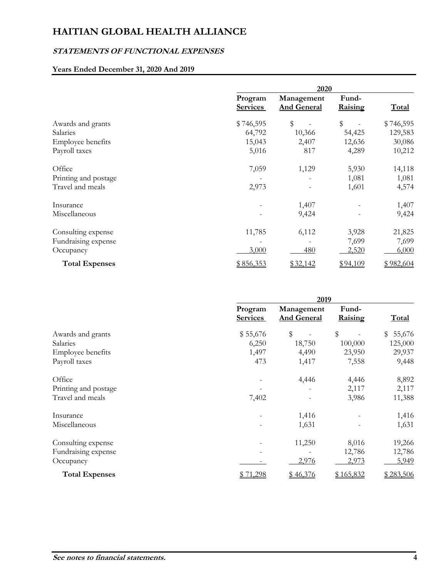# **STATEMENTS OF FUNCTIONAL EXPENSES**

# **Years Ended December 31, 2020 And 2019**

|                          | 2020                       |                                  |                  |              |
|--------------------------|----------------------------|----------------------------------|------------------|--------------|
|                          | Program<br><b>Services</b> | Management<br><b>And General</b> | Fund-<br>Raising | <b>Total</b> |
| Awards and grants        | \$746,595                  | \$                               | \$               | \$746,595    |
| Salaries                 | 64,792                     | 10,366                           | 54,425           | 129,583      |
| <b>Employee benefits</b> | 15,043                     | 2,407                            | 12,636           | 30,086       |
| Payroll taxes            | 5,016                      | 817                              | 4,289            | 10,212       |
| Office                   | 7,059                      | 1,129                            | 5,930            | 14,118       |
| Printing and postage     |                            |                                  | 1,081            | 1,081        |
| Travel and meals         | 2,973                      |                                  | 1,601            | 4,574        |
| Insurance                |                            | 1,407                            |                  | 1,407        |
| Miscellaneous            |                            | 9,424                            |                  | 9,424        |
| Consulting expense       | 11,785                     | 6,112                            | 3,928            | 21,825       |
| Fundraising expense      |                            |                                  | 7,699            | 7,699        |
| Occupancy                | 3,000                      | 480                              | 2,520            | 6,000        |
| <b>Total Expenses</b>    | \$856,353                  | \$32,142                         | \$94,109         | \$982,604    |

|                       |                            | 2019                             |                  |              |
|-----------------------|----------------------------|----------------------------------|------------------|--------------|
|                       | Program<br><b>Services</b> | Management<br><b>And General</b> | Fund-<br>Raising | Total        |
| Awards and grants     | \$55,676                   | \$                               | \$               | 55,676<br>\$ |
| Salaries              | 6,250                      | 18,750                           | 100,000          | 125,000      |
| Employee benefits     | 1,497                      | 4,490                            | 23,950           | 29,937       |
| Payroll taxes         | 473                        | 1,417                            | 7,558            | 9,448        |
| Office                |                            | 4,446                            | 4,446            | 8,892        |
| Printing and postage  |                            |                                  | 2,117            | 2,117        |
| Travel and meals      | 7,402                      |                                  | 3,986            | 11,388       |
| Insurance             |                            | 1,416                            |                  | 1,416        |
| Miscellaneous         |                            | 1,631                            |                  | 1,631        |
| Consulting expense    |                            | 11,250                           | 8,016            | 19,266       |
| Fundraising expense   |                            |                                  | 12,786           | 12,786       |
| Occupancy             |                            | 2,976                            | 2,973            | 5,949        |
| <b>Total Expenses</b> | .298                       | \$46,376                         | \$165,832        | \$283,506    |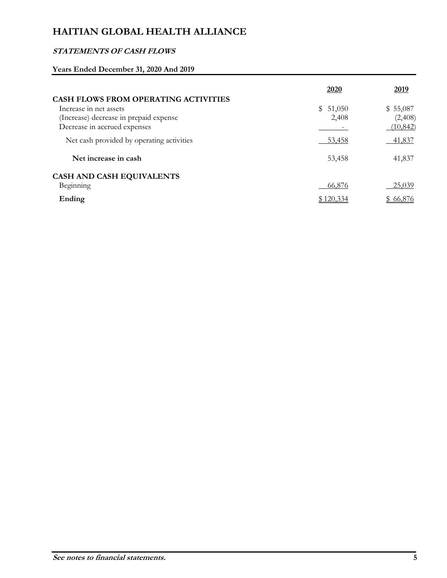# **STATEMENTS OF CASH FLOWS**

# **Years Ended December 31, 2020 And 2019**

|                                             | 2020                 | 2019      |
|---------------------------------------------|----------------------|-----------|
| <b>CASH FLOWS FROM OPERATING ACTIVITIES</b> |                      |           |
| Increase in net assets                      | $^{\circ}$<br>51,050 | \$55,087  |
| (Increase) decrease in prepaid expense      | 2,408                | (2, 408)  |
| Decrease in accrued expenses                |                      | (10, 842) |
| Net cash provided by operating activities   | <u>53,458</u>        | 41,837    |
| Net increase in cash                        | 53,458               | 41,837    |
| <b>CASH AND CASH EQUIVALENTS</b>            |                      |           |
| Beginning                                   | 66,876               | 25,039    |
| Ending                                      | \$120,334            | \$66.876  |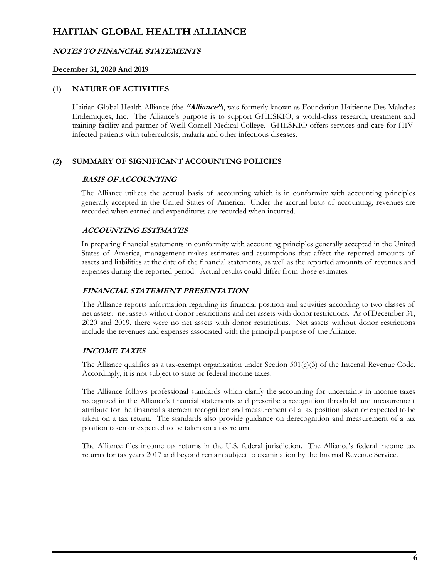### **NOTES TO FINANCIAL STATEMENTS**

#### **December 31, 2020 And 2019**

### **(1) NATURE OF ACTIVITIES**

Haitian Global Health Alliance (the **"Alliance"**), was formerly known as Foundation Haitienne Des Maladies Endemiques, Inc. The Alliance's purpose is to support GHESKIO, a world-class research, treatment and training facility and partner of Weill Cornell Medical College. GHESKIO offers services and care for HIVinfected patients with tuberculosis, malaria and other infectious diseases.

### **(2) SUMMARY OF SIGNIFICANT ACCOUNTING POLICIES**

#### **BASIS OF ACCOUNTING**

The Alliance utilizes the accrual basis of accounting which is in conformity with accounting principles generally accepted in the United States of America. Under the accrual basis of accounting, revenues are recorded when earned and expenditures are recorded when incurred.

### **ACCOUNTING ESTIMATES**

In preparing financial statements in conformity with accounting principles generally accepted in the United States of America, management makes estimates and assumptions that affect the reported amounts of assets and liabilities at the date of the financial statements, as well as the reported amounts of revenues and expenses during the reported period. Actual results could differ from those estimates.

### **FINANCIAL STATEMENT PRESENTATION**

The Alliance reports information regarding its financial position and activities according to two classes of net assets: net assets without donor restrictions and net assets with donor restrictions. As of December 31, 2020 and 2019, there were no net assets with donor restrictions. Net assets without donor restrictions include the revenues and expenses associated with the principal purpose of the Alliance.

### **INCOME TAXES**

The Alliance qualifies as a tax-exempt organization under Section 501(c)(3) of the Internal Revenue Code. Accordingly, it is not subject to state or federal income taxes.

The Alliance follows professional standards which clarify the accounting for uncertainty in income taxes recognized in the Alliance's financial statements and prescribe a recognition threshold and measurement attribute for the financial statement recognition and measurement of a tax position taken or expected to be taken on a tax return. The standards also provide guidance on derecognition and measurement of a tax position taken or expected to be taken on a tax return.

The Alliance files income tax returns in the U.S. federal jurisdiction. The Alliance's federal income tax returns for tax years 2017 and beyond remain subject to examination by the Internal Revenue Service.